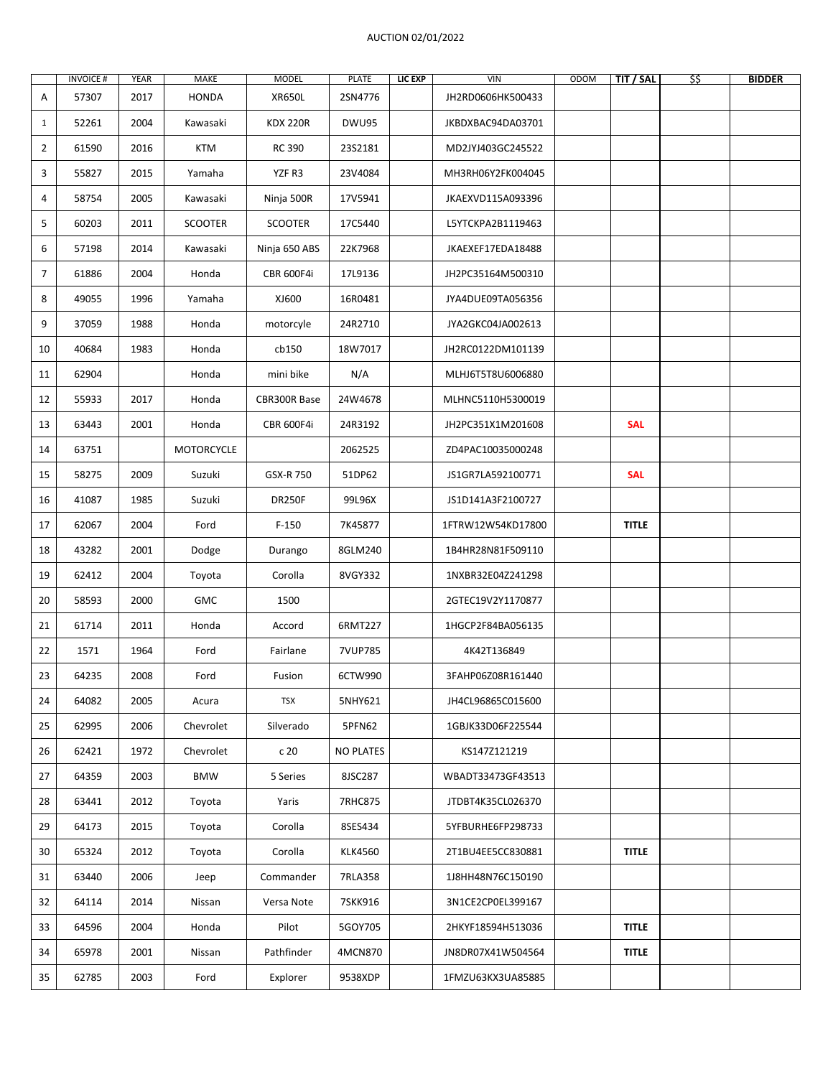## AUCTION 02/01/2022

|                | <b>INVOICE#</b> | YEAR | MAKE              | <b>MODEL</b>    | PLATE            | LIC EXP | VIN               | ODOM | TIT / SAL    | \$\$ | <b>BIDDER</b> |
|----------------|-----------------|------|-------------------|-----------------|------------------|---------|-------------------|------|--------------|------|---------------|
| Α              | 57307           | 2017 | <b>HONDA</b>      | <b>XR650L</b>   | 2SN4776          |         | JH2RD0606HK500433 |      |              |      |               |
| $\mathbf{1}$   | 52261           | 2004 | Kawasaki          | <b>KDX 220R</b> | DWU95            |         | JKBDXBAC94DA03701 |      |              |      |               |
| $\overline{2}$ | 61590           | 2016 | <b>KTM</b>        | RC 390          | 23S2181          |         | MD2JYJ403GC245522 |      |              |      |               |
| 3              | 55827           | 2015 | Yamaha            | YZF R3          | 23V4084          |         | MH3RH06Y2FK004045 |      |              |      |               |
| 4              | 58754           | 2005 | Kawasaki          | Ninja 500R      | 17V5941          |         | JKAEXVD115A093396 |      |              |      |               |
| 5              | 60203           | 2011 | <b>SCOOTER</b>    | <b>SCOOTER</b>  | 17C5440          |         | L5YTCKPA2B1119463 |      |              |      |               |
| 6              | 57198           | 2014 | Kawasaki          | Ninja 650 ABS   | 22K7968          |         | JKAEXEF17EDA18488 |      |              |      |               |
| $\overline{7}$ | 61886           | 2004 | Honda             | CBR 600F4i      | 17L9136          |         | JH2PC35164M500310 |      |              |      |               |
| 8              | 49055           | 1996 | Yamaha            | XJ600           | 16R0481          |         | JYA4DUE09TA056356 |      |              |      |               |
| 9              | 37059           | 1988 | Honda             | motorcyle       | 24R2710          |         | JYA2GKC04JA002613 |      |              |      |               |
| 10             | 40684           | 1983 | Honda             | cb150           | 18W7017          |         | JH2RC0122DM101139 |      |              |      |               |
| 11             | 62904           |      | Honda             | mini bike       | N/A              |         | MLHJ6T5T8U6006880 |      |              |      |               |
| 12             | 55933           | 2017 | Honda             | CBR300R Base    | 24W4678          |         | MLHNC5110H5300019 |      |              |      |               |
| 13             | 63443           | 2001 | Honda             | CBR 600F4i      | 24R3192          |         | JH2PC351X1M201608 |      | <b>SAL</b>   |      |               |
| 14             | 63751           |      | <b>MOTORCYCLE</b> |                 | 2062525          |         | ZD4PAC10035000248 |      |              |      |               |
| 15             | 58275           | 2009 | Suzuki            | GSX-R 750       | 51DP62           |         | JS1GR7LA592100771 |      | <b>SAL</b>   |      |               |
| 16             | 41087           | 1985 | Suzuki            | <b>DR250F</b>   | 99L96X           |         | JS1D141A3F2100727 |      |              |      |               |
| 17             | 62067           | 2004 | Ford              | $F-150$         | 7K45877          |         | 1FTRW12W54KD17800 |      | <b>TITLE</b> |      |               |
| 18             | 43282           | 2001 | Dodge             | Durango         | 8GLM240          |         | 1B4HR28N81F509110 |      |              |      |               |
| 19             | 62412           | 2004 | Toyota            | Corolla         | 8VGY332          |         | 1NXBR32E04Z241298 |      |              |      |               |
| 20             | 58593           | 2000 | <b>GMC</b>        | 1500            |                  |         | 2GTEC19V2Y1170877 |      |              |      |               |
| 21             | 61714           | 2011 | Honda             | Accord          | 6RMT227          |         | 1HGCP2F84BA056135 |      |              |      |               |
| 22             | 1571            | 1964 | Ford              | Fairlane        | <b>7VUP785</b>   |         | 4K42T136849       |      |              |      |               |
| 23             | 64235           | 2008 | Ford              | Fusion          | 6CTW990          |         | 3FAHP06Z08R161440 |      |              |      |               |
| 24             | 64082           | 2005 | Acura             | <b>TSX</b>      | 5NHY621          |         | JH4CL96865C015600 |      |              |      |               |
| 25             | 62995           | 2006 | Chevrolet         | Silverado       | 5PFN62           |         | 1GBJK33D06F225544 |      |              |      |               |
| 26             | 62421           | 1972 | Chevrolet         | c 20            | <b>NO PLATES</b> |         | KS147Z121219      |      |              |      |               |
| 27             | 64359           | 2003 | <b>BMW</b>        | 5 Series        | 8JSC287          |         | WBADT33473GF43513 |      |              |      |               |
| 28             | 63441           | 2012 | Toyota            | Yaris           | 7RHC875          |         | JTDBT4K35CL026370 |      |              |      |               |
| 29             | 64173           | 2015 | Toyota            | Corolla         | 8SES434          |         | 5YFBURHE6FP298733 |      |              |      |               |
| 30             | 65324           | 2012 | Toyota            | Corolla         | <b>KLK4560</b>   |         | 2T1BU4EE5CC830881 |      | <b>TITLE</b> |      |               |
| 31             | 63440           | 2006 | Jeep              | Commander       | 7RLA358          |         | 1J8HH48N76C150190 |      |              |      |               |
| 32             | 64114           | 2014 | Nissan            | Versa Note      | 7SKK916          |         | 3N1CE2CP0EL399167 |      |              |      |               |
| 33             | 64596           | 2004 | Honda             | Pilot           | 5GOY705          |         | 2HKYF18594H513036 |      | <b>TITLE</b> |      |               |
| 34             | 65978           | 2001 | Nissan            | Pathfinder      | 4MCN870          |         | JN8DR07X41W504564 |      | <b>TITLE</b> |      |               |
| 35             | 62785           | 2003 | Ford              | Explorer        | 9538XDP          |         | 1FMZU63KX3UA85885 |      |              |      |               |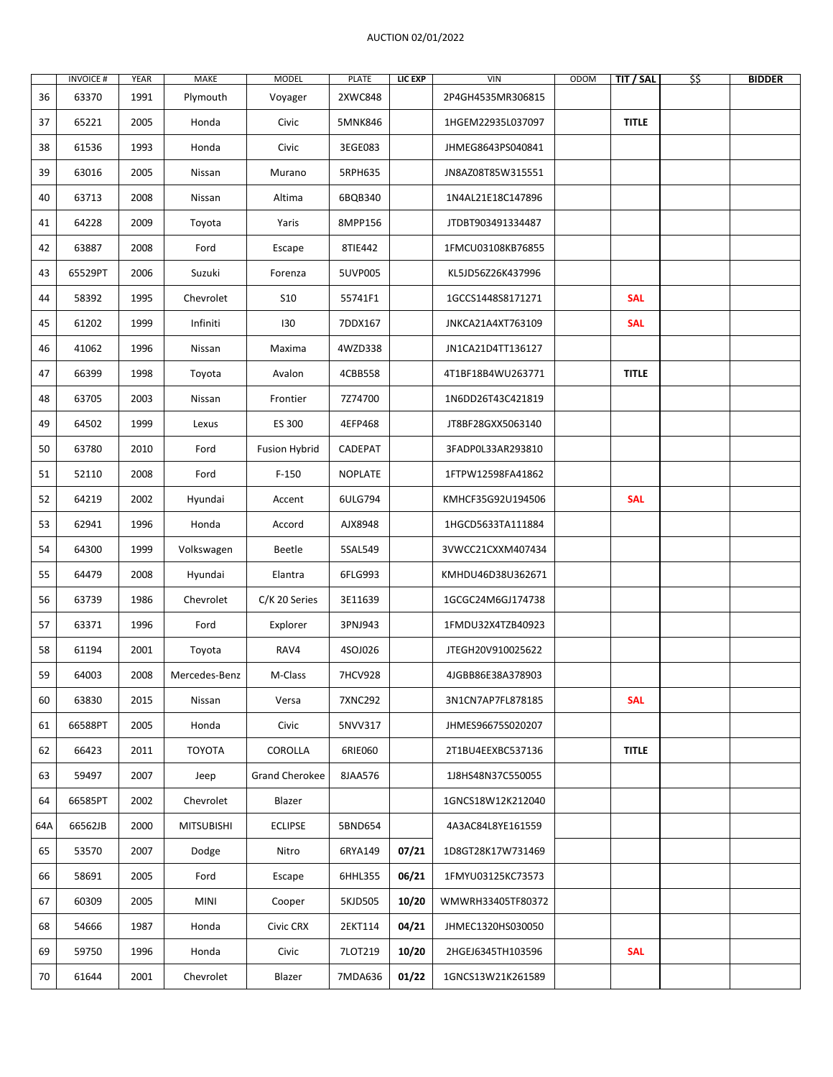## AUCTION 02/01/2022

|     | <b>INVOICE#</b> | YEAR | MAKE              | <b>MODEL</b>          | PLATE          | LIC EXP | VIN               | ODOM | TIT / SAL    | \$\$ | <b>BIDDER</b> |
|-----|-----------------|------|-------------------|-----------------------|----------------|---------|-------------------|------|--------------|------|---------------|
| 36  | 63370           | 1991 | Plymouth          | Voyager               | 2XWC848        |         | 2P4GH4535MR306815 |      |              |      |               |
| 37  | 65221           | 2005 | Honda             | Civic                 | 5MNK846        |         | 1HGEM22935L037097 |      | <b>TITLE</b> |      |               |
| 38  | 61536           | 1993 | Honda             | Civic                 | 3EGE083        |         | JHMEG8643PS040841 |      |              |      |               |
| 39  | 63016           | 2005 | Nissan            | Murano                | 5RPH635        |         | JN8AZ08T85W315551 |      |              |      |               |
| 40  | 63713           | 2008 | Nissan            | Altima                | 6BQB340        |         | 1N4AL21E18C147896 |      |              |      |               |
| 41  | 64228           | 2009 | Toyota            | Yaris                 | 8MPP156        |         | JTDBT903491334487 |      |              |      |               |
| 42  | 63887           | 2008 | Ford              | Escape                | 8TIE442        |         | 1FMCU03108KB76855 |      |              |      |               |
| 43  | 65529PT         | 2006 | Suzuki            | Forenza               | 5UVP005        |         | KL5JD56Z26K437996 |      |              |      |               |
| 44  | 58392           | 1995 | Chevrolet         | <b>S10</b>            | 55741F1        |         | 1GCCS1448S8171271 |      | <b>SAL</b>   |      |               |
| 45  | 61202           | 1999 | Infiniti          | 130                   | 7DDX167        |         | JNKCA21A4XT763109 |      | <b>SAL</b>   |      |               |
| 46  | 41062           | 1996 | Nissan            | Maxima                | 4WZD338        |         | JN1CA21D4TT136127 |      |              |      |               |
| 47  | 66399           | 1998 | Toyota            | Avalon                | 4CBB558        |         | 4T1BF18B4WU263771 |      | <b>TITLE</b> |      |               |
| 48  | 63705           | 2003 | Nissan            | Frontier              | 7Z74700        |         | 1N6DD26T43C421819 |      |              |      |               |
| 49  | 64502           | 1999 | Lexus             | ES 300                | 4EFP468        |         | JT8BF28GXX5063140 |      |              |      |               |
| 50  | 63780           | 2010 | Ford              | <b>Fusion Hybrid</b>  | CADEPAT        |         | 3FADP0L33AR293810 |      |              |      |               |
| 51  | 52110           | 2008 | Ford              | $F-150$               | <b>NOPLATE</b> |         | 1FTPW12598FA41862 |      |              |      |               |
| 52  | 64219           | 2002 | Hyundai           | Accent                | 6ULG794        |         | KMHCF35G92U194506 |      | <b>SAL</b>   |      |               |
| 53  | 62941           | 1996 | Honda             | Accord                | AJX8948        |         | 1HGCD5633TA111884 |      |              |      |               |
| 54  | 64300           | 1999 | Volkswagen        | Beetle                | 5SAL549        |         | 3VWCC21CXXM407434 |      |              |      |               |
| 55  | 64479           | 2008 | Hyundai           | Elantra               | 6FLG993        |         | KMHDU46D38U362671 |      |              |      |               |
| 56  | 63739           | 1986 | Chevrolet         | C/K 20 Series         | 3E11639        |         | 1GCGC24M6GJ174738 |      |              |      |               |
| 57  | 63371           | 1996 | Ford              | Explorer              | 3PNJ943        |         | 1FMDU32X4TZB40923 |      |              |      |               |
| 58  | 61194           | 2001 | Toyota            | RAV4                  | 4SOJ026        |         | JTEGH20V910025622 |      |              |      |               |
| 59  | 64003           | 2008 | Mercedes-Benz     | M-Class               | 7HCV928        |         | 4JGBB86E38A378903 |      |              |      |               |
| 60  | 63830           | 2015 | Nissan            | Versa                 | 7XNC292        |         | 3N1CN7AP7FL878185 |      | <b>SAL</b>   |      |               |
| 61  | 66588PT         | 2005 | Honda             | Civic                 | 5NVV317        |         | JHMES96675S020207 |      |              |      |               |
| 62  | 66423           | 2011 | <b>TOYOTA</b>     | COROLLA               | 6RIE060        |         | 2T1BU4EEXBC537136 |      | <b>TITLE</b> |      |               |
| 63  | 59497           | 2007 | Jeep              | <b>Grand Cherokee</b> | 8JAA576        |         | 1J8HS48N37C550055 |      |              |      |               |
| 64  | 66585PT         | 2002 | Chevrolet         | Blazer                |                |         | 1GNCS18W12K212040 |      |              |      |               |
| 64A | 66562JB         | 2000 | <b>MITSUBISHI</b> | <b>ECLIPSE</b>        | 5BND654        |         | 4A3AC84L8YE161559 |      |              |      |               |
| 65  | 53570           | 2007 | Dodge             | Nitro                 | 6RYA149        | 07/21   | 1D8GT28K17W731469 |      |              |      |               |
| 66  | 58691           | 2005 | Ford              | Escape                | 6HHL355        | 06/21   | 1FMYU03125KC73573 |      |              |      |               |
| 67  | 60309           | 2005 | MINI              | Cooper                | 5KJD505        | 10/20   | WMWRH33405TF80372 |      |              |      |               |
| 68  | 54666           | 1987 | Honda             | Civic CRX             | 2EKT114        | 04/21   | JHMEC1320HS030050 |      |              |      |               |
| 69  | 59750           | 1996 | Honda             | Civic                 | 7LOT219        | 10/20   | 2HGEJ6345TH103596 |      | <b>SAL</b>   |      |               |
| 70  | 61644           | 2001 | Chevrolet         | Blazer                | 7MDA636        | 01/22   | 1GNCS13W21K261589 |      |              |      |               |